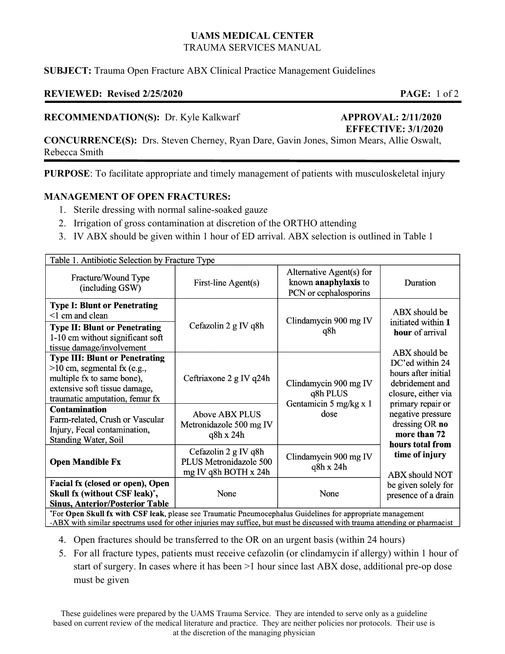# **UAMS MEDICAL CENTER**  TRAUMA SERVICES MANUAL

## **SUBJECT:** Trauma Open Fracture ABX Clinical Practice Management Guidelines

# **REVIEWED: Revised 2/25/2020 PAGE:** 1 of 2

#### **RECOMMENDATION(S):** Dr. Kyle Kalkwarf **APPROVAL: 2/11/2020**

# **EFFECTIVE: 3/1/2020**

**CONCURRENCE(S):** Drs. Steven Cherney, Ryan Dare, Gavin Jones, Simon Mears, Allie Oswalt, Rebecca Smith

**PURPOSE**: To facilitate appropriate and timely management of patients with musculoskeletal injury

### **MANAGEMENT OF OPEN FRACTURES:**

- 1. Sterile dressing with normal saline-soaked gauze
- 2. Irrigation of gross contamination at discretion of the ORTHO attending
- 3. IV ABX should be given within 1 hour of ED arrival. ABX selection is outlined in Table 1

| Table 1. Antibiotic Selection by Fracture Type                                                                                                                                                                               |                                                                        |                                                                           |                                                                                                                                                                                       |
|------------------------------------------------------------------------------------------------------------------------------------------------------------------------------------------------------------------------------|------------------------------------------------------------------------|---------------------------------------------------------------------------|---------------------------------------------------------------------------------------------------------------------------------------------------------------------------------------|
| Fracture/Wound Type<br>(including GSW)                                                                                                                                                                                       | First-line Agent(s)                                                    | Alternative Agent(s) for<br>known anaphylaxis to<br>PCN or cephalosporins | Duration                                                                                                                                                                              |
| <b>Type I: Blunt or Penetrating</b><br><1 cm and clean<br><b>Type II: Blunt or Penetrating</b><br>1-10 cm without significant soft<br>tissue damage/involvement                                                              | Cefazolin 2 g IV q8h                                                   | Clindamycin 900 mg IV<br>q8h                                              | ABX should be<br>initiated within 1<br>hour of arrival<br>ABX should be                                                                                                               |
| <b>Type III: Blunt or Penetrating</b><br>$>10$ cm, segmental fx (e.g.,<br>multiple fx to same bone),<br>extensive soft tissue damage,<br>traumatic amputation, femur fx                                                      | Ceftriaxone 2 g IV q24h                                                | Clindamycin 900 mg IV<br>q8h PLUS<br>Gentamicin 5 mg/kg x 1<br>dose       | DC'ed within 24<br>hours after initial<br>debridement and<br>closure, either via                                                                                                      |
| <b>Contamination</b><br>Farm-related, Crush or Vascular<br>Injury, Fecal contamination,<br>Standing Water, Soil                                                                                                              | Above ABX PLUS<br>Metronidazole 500 mg IV<br>q8h x 24h                 |                                                                           | primary repair or<br>negative pressure<br>dressing OR no<br>more than 72<br>hours total from<br>time of injury<br><b>ABX</b> should NOT<br>be given solely for<br>presence of a drain |
| <b>Open Mandible Fx</b>                                                                                                                                                                                                      | Cefazolin 2 g IV q8h<br>PLUS Metronidazole 500<br>mg IV q8h BOTH x 24h | Clindamycin 900 mg IV<br>q8h x 24h                                        |                                                                                                                                                                                       |
| Facial fx (closed or open), Open<br>Skull fx (without CSF leak) <sup>*</sup> ,<br><b>Sinus, Anterior/Posterior Table</b><br>$*_{\Gamma}$ . On an Clark formula CCF leak places are Thermatic Decomposabelics Criticians from | None                                                                   | None                                                                      |                                                                                                                                                                                       |

For Open Skull fx with CSF leak, please see Traumatic Pneumocephalus Guidelines for appropriate management -ABX with similar spectrums used for other injuries may suffice, but must be discussed with trauma attending or pharmacist

- 4. Open fractures should be transferred to the OR on an urgent basis (within 24 hours)
- 5. For all fracture types, patients must receive cefazolin (or clindamycin if allergy) within 1 hour of start of surgery. In cases where it has been >1 hour since last ABX dose, additional pre-op dose must be given

These guidelines were prepared by the UAMS Trauma Service. They are intended to serve only as a guideline based on current review of the medical literature and practice. They are neither policies nor protocols. Their use is at the discretion of the managing physician